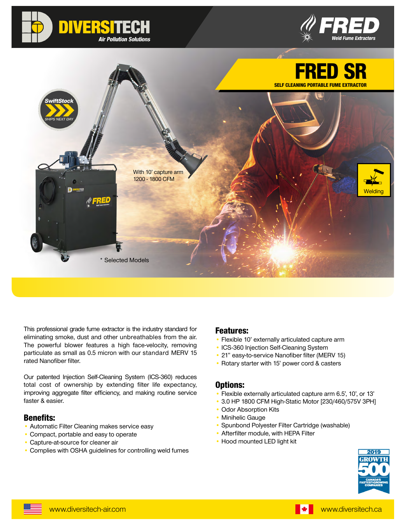





This professional grade fume extractor is the industry standard for eliminating smoke, dust and other unbreathables from the air. The powerful blower features a high face-velocity, removing particulate as small as 0.5 micron with our standard MERV 15 rated Nanofiber filter.

Our patented Injection Self-Cleaning System (ICS-360) reduces total cost of ownership by extending filter life expectancy, improving aggregate filter efficiency, and making routine service faster & easier.

#### Benefits:

- Automatic Filter Cleaning makes service easy
- Compact, portable and easy to operate
- Capture-at-source for cleaner air
- Complies with OSHA guidelines for controlling weld fumes

### Features:

- Flexible 10' externally articulated capture arm
- ICS-360 Injection Self-Cleaning System
- 21" easy-to-service Nanofiber filter (MERV 15)
- Rotary starter with 15' power cord & casters

#### Options:

- Flexible externally articulated capture arm 6.5', 10', or 13'
- 3.0 HP 1800 CFM High-Static Motor [230/460/575V 3PH]
- Odor Absorption Kits
- Minihelic Gauge
- Spunbond Polyester Filter Cartridge (washable)
- Afterfilter module, with HEPA Filter
- Hood mounted LED light kit